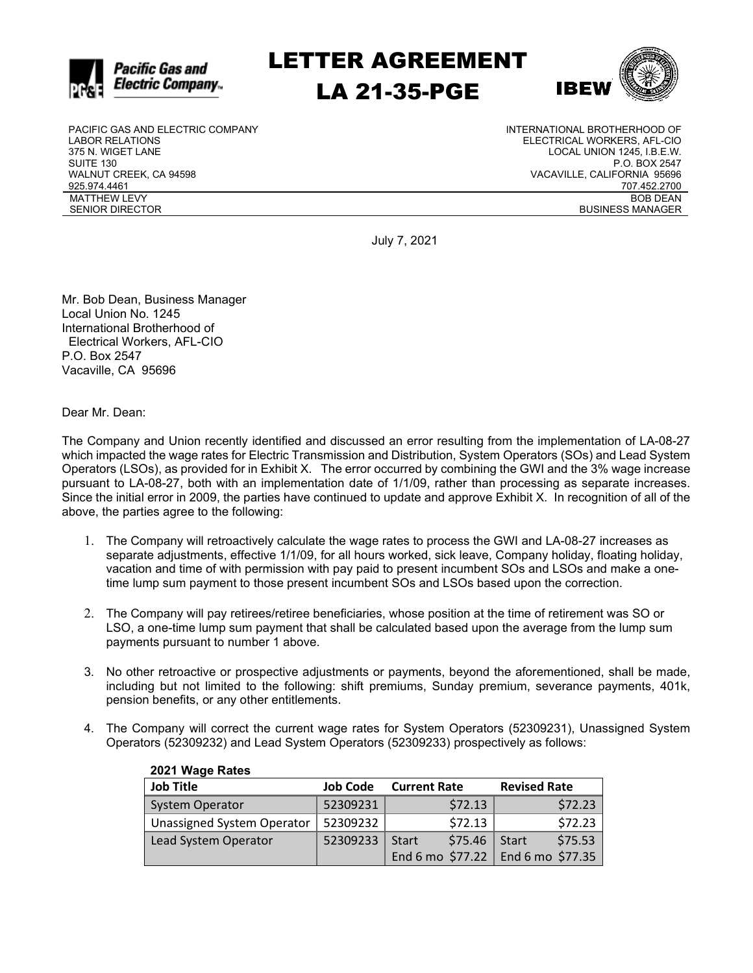

LETTER AGREEMENT LA 21-35-PGE



PACIFIC GAS AND ELECTRIC COMPANY LABOR RELATIONS 375 N. WIGET LANE SUITE 130 WALNUT CREEK, CA 94598 925.974.4461 MATTHEW LEVY SENIOR DIRECTOR

INTERNATIONAL BROTHERHOOD OF ELECTRICAL WORKERS, AFL-CIO LOCAL UNION 1245, I.B.E.W. P.O. BOX 2547 VACAVILLE, CALIFORNIA 95696 707.452.2700 BOB DEAN BUSINESS MANAGER

July 7, 2021

Mr. Bob Dean, Business Manager Local Union No. 1245 International Brotherhood of Electrical Workers, AFL-CIO P.O. Box 2547 Vacaville, CA 95696

**2021 Wage Rates**

Dear Mr. Dean:

The Company and Union recently identified and discussed an error resulting from the implementation of LA-08-27 which impacted the wage rates for Electric Transmission and Distribution, System Operators (SOs) and Lead System Operators (LSOs), as provided for in Exhibit X. The error occurred by combining the GWI and the 3% wage increase pursuant to LA-08-27, both with an implementation date of 1/1/09, rather than processing as separate increases. Since the initial error in 2009, the parties have continued to update and approve Exhibit X. In recognition of all of the above, the parties agree to the following:

- 1. The Company will retroactively calculate the wage rates to process the GWI and LA-08-27 increases as separate adjustments, effective 1/1/09, for all hours worked, sick leave, Company holiday, floating holiday, vacation and time of with permission with pay paid to present incumbent SOs and LSOs and make a onetime lump sum payment to those present incumbent SOs and LSOs based upon the correction.
- 2. The Company will pay retirees/retiree beneficiaries, whose position at the time of retirement was SO or LSO, a one-time lump sum payment that shall be calculated based upon the average from the lump sum payments pursuant to number 1 above.
- 3. No other retroactive or prospective adjustments or payments, beyond the aforementioned, shall be made, including but not limited to the following: shift premiums, Sunday premium, severance payments, 401k, pension benefits, or any other entitlements.
- 4. The Company will correct the current wage rates for System Operators (52309231), Unassigned System Operators (52309232) and Lead System Operators (52309233) prospectively as follows:

| <b>ZUZT WAYE RAILS</b>     |                 |                         |                                     |
|----------------------------|-----------------|-------------------------|-------------------------------------|
| <b>Job Title</b>           | <b>Job Code</b> | <b>Current Rate</b>     | <b>Revised Rate</b>                 |
| <b>System Operator</b>     | 52309231        | \$72.13                 | \$72.23                             |
| Unassigned System Operator | 52309232        | \$72.13                 | \$72.23                             |
| Lead System Operator       | 52309233        | \$75.46<br><b>Start</b> | \$75.53<br>Start                    |
|                            |                 |                         | End 6 mo $$77.22$ End 6 mo $$77.35$ |